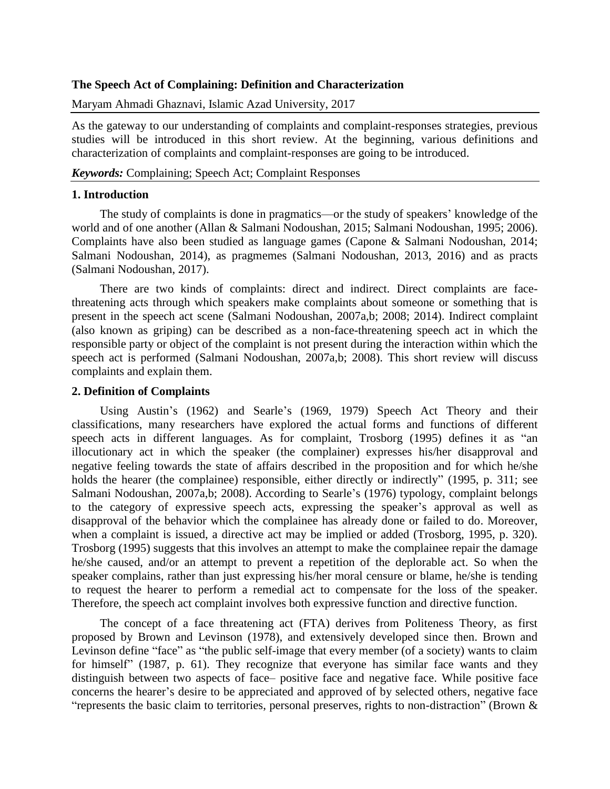## **The Speech Act of Complaining: Definition and Characterization**

Maryam Ahmadi Ghaznavi, Islamic Azad University, 2017

As the gateway to our understanding of complaints and complaint-responses strategies, previous studies will be introduced in this short review. At the beginning, various definitions and characterization of complaints and complaint-responses are going to be introduced.

### *Keywords:* Complaining; Speech Act; Complaint Responses

# **1. Introduction**

The study of complaints is done in pragmatics—or the study of speakers' knowledge of the world and of one another (Allan & Salmani Nodoushan, 2015; Salmani Nodoushan, 1995; 2006). Complaints have also been studied as language games (Capone & Salmani Nodoushan, 2014; Salmani Nodoushan, 2014), as pragmemes (Salmani Nodoushan, 2013, 2016) and as practs (Salmani Nodoushan, 2017).

There are two kinds of complaints: direct and indirect. Direct complaints are facethreatening acts through which speakers make complaints about someone or something that is present in the speech act scene (Salmani Nodoushan, 2007a,b; 2008; 2014). Indirect complaint (also known as griping) can be described as a non-face-threatening speech act in which the responsible party or object of the complaint is not present during the interaction within which the speech act is performed (Salmani Nodoushan, 2007a,b; 2008). This short review will discuss complaints and explain them.

## **2. Definition of Complaints**

Using Austin's (1962) and Searle's (1969, 1979) Speech Act Theory and their classifications, many researchers have explored the actual forms and functions of different speech acts in different languages. As for complaint, Trosborg (1995) defines it as "an illocutionary act in which the speaker (the complainer) expresses his/her disapproval and negative feeling towards the state of affairs described in the proposition and for which he/she holds the hearer (the complainee) responsible, either directly or indirectly" (1995, p. 311; see Salmani Nodoushan, 2007a,b; 2008). According to Searle's (1976) typology, complaint belongs to the category of expressive speech acts, expressing the speaker's approval as well as disapproval of the behavior which the complainee has already done or failed to do. Moreover, when a complaint is issued, a directive act may be implied or added (Trosborg, 1995, p. 320). Trosborg (1995) suggests that this involves an attempt to make the complainee repair the damage he/she caused, and/or an attempt to prevent a repetition of the deplorable act. So when the speaker complains, rather than just expressing his/her moral censure or blame, he/she is tending to request the hearer to perform a remedial act to compensate for the loss of the speaker. Therefore, the speech act complaint involves both expressive function and directive function.

The concept of a face threatening act (FTA) derives from Politeness Theory, as first proposed by Brown and Levinson (1978), and extensively developed since then. Brown and Levinson define "face" as "the public self-image that every member (of a society) wants to claim for himself" (1987, p. 61). They recognize that everyone has similar face wants and they distinguish between two aspects of face– positive face and negative face. While positive face concerns the hearer's desire to be appreciated and approved of by selected others, negative face "represents the basic claim to territories, personal preserves, rights to non-distraction" (Brown &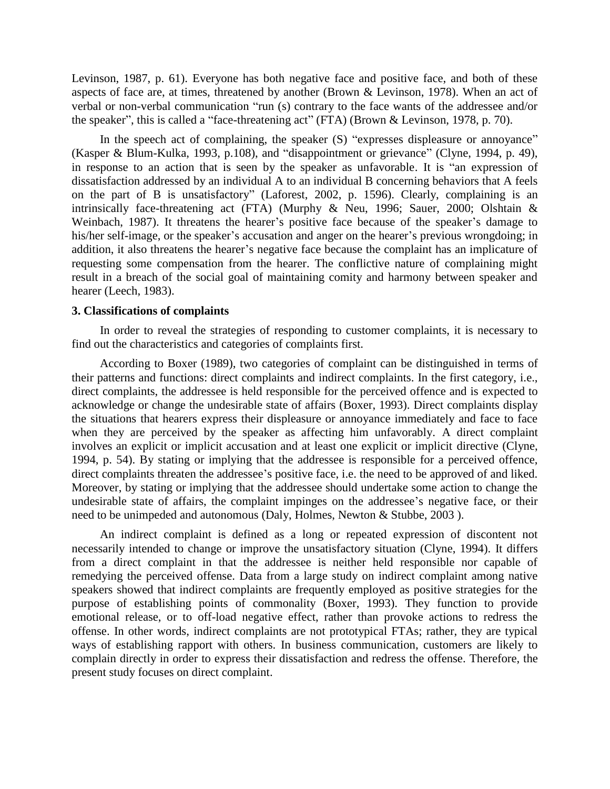Levinson, 1987, p. 61). Everyone has both negative face and positive face, and both of these aspects of face are, at times, threatened by another (Brown & Levinson, 1978). When an act of verbal or non-verbal communication "run (s) contrary to the face wants of the addressee and/or the speaker", this is called a "face-threatening act" (FTA) (Brown & Levinson, 1978, p. 70).

In the speech act of complaining, the speaker (S) "expresses displeasure or annoyance" (Kasper & Blum-Kulka, 1993, p.108), and "disappointment or grievance" (Clyne, 1994, p. 49), in response to an action that is seen by the speaker as unfavorable. It is "an expression of dissatisfaction addressed by an individual A to an individual B concerning behaviors that A feels on the part of B is unsatisfactory" (Laforest, 2002, p. 1596). Clearly, complaining is an intrinsically face-threatening act (FTA) (Murphy & Neu, 1996; Sauer, 2000; Olshtain & Weinbach, 1987). It threatens the hearer's positive face because of the speaker's damage to his/her self-image, or the speaker's accusation and anger on the hearer's previous wrongdoing; in addition, it also threatens the hearer's negative face because the complaint has an implicature of requesting some compensation from the hearer. The conflictive nature of complaining might result in a breach of the social goal of maintaining comity and harmony between speaker and hearer (Leech, 1983).

### **3. Classifications of complaints**

In order to reveal the strategies of responding to customer complaints, it is necessary to find out the characteristics and categories of complaints first.

According to Boxer (1989), two categories of complaint can be distinguished in terms of their patterns and functions: direct complaints and indirect complaints. In the first category, i.e., direct complaints, the addressee is held responsible for the perceived offence and is expected to acknowledge or change the undesirable state of affairs (Boxer, 1993). Direct complaints display the situations that hearers express their displeasure or annoyance immediately and face to face when they are perceived by the speaker as affecting him unfavorably. A direct complaint involves an explicit or implicit accusation and at least one explicit or implicit directive (Clyne, 1994, p. 54). By stating or implying that the addressee is responsible for a perceived offence, direct complaints threaten the addressee's positive face, i.e. the need to be approved of and liked. Moreover, by stating or implying that the addressee should undertake some action to change the undesirable state of affairs, the complaint impinges on the addressee's negative face, or their need to be unimpeded and autonomous (Daly, Holmes, Newton & Stubbe, 2003 ).

An indirect complaint is defined as a long or repeated expression of discontent not necessarily intended to change or improve the unsatisfactory situation (Clyne, 1994). It differs from a direct complaint in that the addressee is neither held responsible nor capable of remedying the perceived offense. Data from a large study on indirect complaint among native speakers showed that indirect complaints are frequently employed as positive strategies for the purpose of establishing points of commonality (Boxer, 1993). They function to provide emotional release, or to off-load negative effect, rather than provoke actions to redress the offense. In other words, indirect complaints are not prototypical FTAs; rather, they are typical ways of establishing rapport with others. In business communication, customers are likely to complain directly in order to express their dissatisfaction and redress the offense. Therefore, the present study focuses on direct complaint.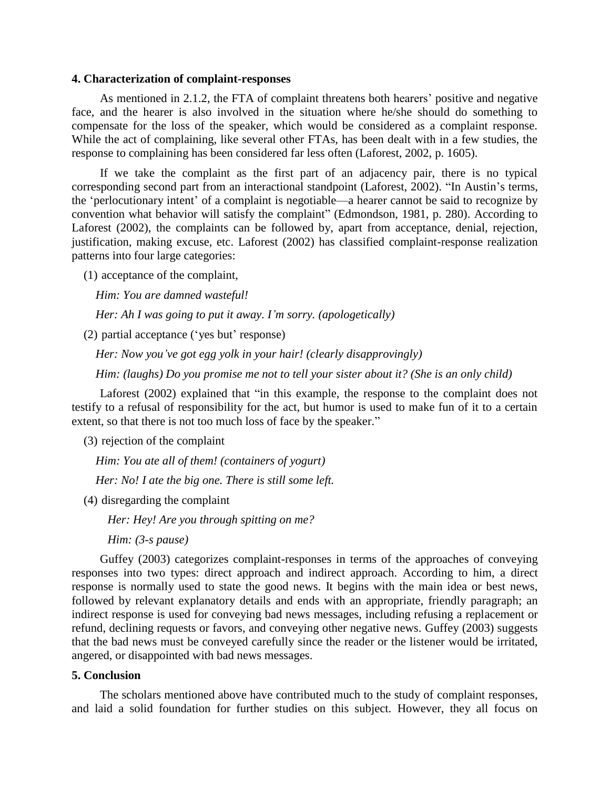#### **4. Characterization of complaint-responses**

As mentioned in 2.1.2, the FTA of complaint threatens both hearers' positive and negative face, and the hearer is also involved in the situation where he/she should do something to compensate for the loss of the speaker, which would be considered as a complaint response. While the act of complaining, like several other FTAs, has been dealt with in a few studies, the response to complaining has been considered far less often (Laforest, 2002, p. 1605).

If we take the complaint as the first part of an adjacency pair, there is no typical corresponding second part from an interactional standpoint (Laforest, 2002). "In Austin's terms, the 'perlocutionary intent' of a complaint is negotiable—a hearer cannot be said to recognize by convention what behavior will satisfy the complaint" (Edmondson, 1981, p. 280). According to Laforest (2002), the complaints can be followed by, apart from acceptance, denial, rejection, justification, making excuse, etc. Laforest (2002) has classified complaint-response realization patterns into four large categories:

(1) acceptance of the complaint,

*Him: You are damned wasteful!*

*Her: Ah I was going to put it away. I'm sorry. (apologetically)*

(2) partial acceptance ('yes but' response)

*Her: Now you've got egg yolk in your hair! (clearly disapprovingly)*

*Him: (laughs) Do you promise me not to tell your sister about it? (She is an only child)*

Laforest (2002) explained that "in this example, the response to the complaint does not testify to a refusal of responsibility for the act, but humor is used to make fun of it to a certain extent, so that there is not too much loss of face by the speaker."

(3) rejection of the complaint

*Him: You ate all of them! (containers of yogurt)*

*Her: No! I ate the big one. There is still some left.*

(4) disregarding the complaint

*Her: Hey! Are you through spitting on me?*

*Him: (3-s pause)*

Guffey (2003) categorizes complaint-responses in terms of the approaches of conveying responses into two types: direct approach and indirect approach. According to him, a direct response is normally used to state the good news. It begins with the main idea or best news, followed by relevant explanatory details and ends with an appropriate, friendly paragraph; an indirect response is used for conveying bad news messages, including refusing a replacement or refund, declining requests or favors, and conveying other negative news. Guffey (2003) suggests that the bad news must be conveyed carefully since the reader or the listener would be irritated, angered, or disappointed with bad news messages.

### **5. Conclusion**

The scholars mentioned above have contributed much to the study of complaint responses, and laid a solid foundation for further studies on this subject. However, they all focus on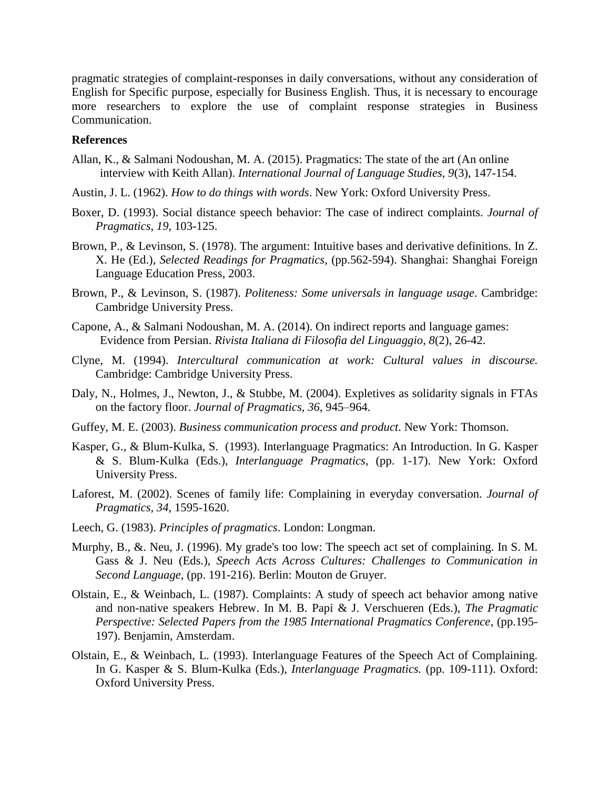pragmatic strategies of complaint-responses in daily conversations, without any consideration of English for Specific purpose, especially for Business English. Thus, it is necessary to encourage more researchers to explore the use of complaint response strategies in Business Communication.

### **References**

- Allan, K., & Salmani Nodoushan, M. A. (2015). Pragmatics: The state of the art (An online interview with Keith Allan). *International Journal of Language Studies, 9*(3), 147-154.
- Austin, J. L. (1962). *How to do things with words*. New York: Oxford University Press.
- Boxer, D. (1993). Social distance speech behavior: The case of indirect complaints. *Journal of Pragmatics*, *19*, 103-125.
- Brown, P., & Levinson, S. (1978). The argument: Intuitive bases and derivative definitions. In Z. X. He (Ed.), *Selected Readings for Pragmatics,* (pp.562-594). Shanghai: Shanghai Foreign Language Education Press, 2003.
- Brown, P., & Levinson, S. (1987). *Politeness: Some universals in language usage*. Cambridge: Cambridge University Press.
- Capone, A., & Salmani Nodoushan, M. A. (2014). On indirect reports and language games: Evidence from Persian. *Rivista Italiana di Filosofia del Linguaggio, 8*(2), 26-42.
- Clyne, M. (1994). *Intercultural communication at work: Cultural values in discourse.* Cambridge: Cambridge University Press.
- Daly, N., Holmes, J., Newton, J., & Stubbe, M. (2004). Expletives as solidarity signals in FTAs on the factory floor. *Journal of Pragmatics, 36*, 945–964.
- Guffey, M. E. (2003). *Business communication process and product*. New York: Thomson.
- Kasper, G., & Blum-Kulka, S. (1993). Interlanguage Pragmatics: An Introduction. In G. Kasper & S. Blum-Kulka (Eds.), *Interlanguage Pragmatics*, (pp. 1-17). New York: Oxford University Press.
- Laforest, M. (2002). Scenes of family life: Complaining in everyday conversation. *Journal of Pragmatics, 34*, 1595-1620.
- Leech, G. (1983). *Principles of pragmatics*. London: Longman.
- Murphy, B., &. Neu, J. (1996). My grade's too low: The speech act set of complaining. In S. M. Gass & J. Neu (Eds.), *Speech Acts Across Cultures: Challenges to Communication in Second Language,* (pp. 191-216). Berlin: Mouton de Gruyer.
- Olstain, E., & Weinbach, L. (1987). Complaints: A study of speech act behavior among native and non-native speakers Hebrew. In M. B. Papi & J. Verschueren (Eds.), *The Pragmatic Perspective: Selected Papers from the 1985 International Pragmatics Conference*, (pp.195- 197). Benjamin, Amsterdam.
- Olstain, E., & Weinbach, L. (1993). Interlanguage Features of the Speech Act of Complaining. In G. Kasper & S. Blum-Kulka (Eds.), *Interlanguage Pragmatics.* (pp. 109-111). Oxford: Oxford University Press.